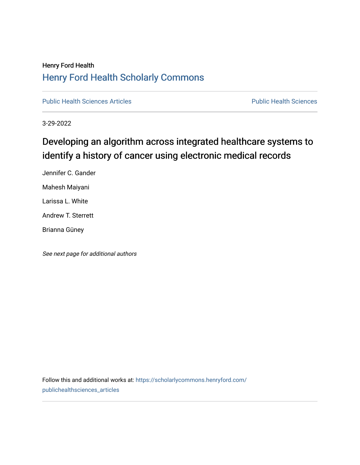# Henry Ford Health [Henry Ford Health Scholarly Commons](https://scholarlycommons.henryford.com/)

[Public Health Sciences Articles](https://scholarlycommons.henryford.com/publichealthsciences_articles) **Public Health Sciences** Public Health Sciences

3-29-2022

# Developing an algorithm across integrated healthcare systems to identify a history of cancer using electronic medical records

Jennifer C. Gander Mahesh Maiyani Larissa L. White Andrew T. Sterrett Brianna Güney

See next page for additional authors

Follow this and additional works at: [https://scholarlycommons.henryford.com/](https://scholarlycommons.henryford.com/publichealthsciences_articles?utm_source=scholarlycommons.henryford.com%2Fpublichealthsciences_articles%2F315&utm_medium=PDF&utm_campaign=PDFCoverPages) [publichealthsciences\\_articles](https://scholarlycommons.henryford.com/publichealthsciences_articles?utm_source=scholarlycommons.henryford.com%2Fpublichealthsciences_articles%2F315&utm_medium=PDF&utm_campaign=PDFCoverPages)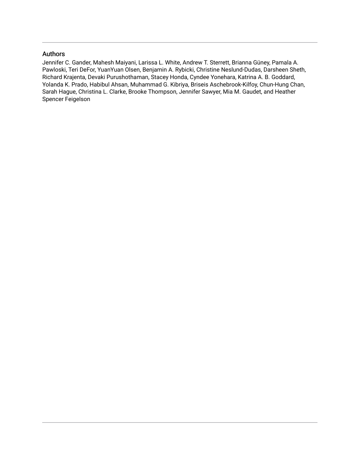# Authors

Jennifer C. Gander, Mahesh Maiyani, Larissa L. White, Andrew T. Sterrett, Brianna Güney, Pamala A. Pawloski, Teri DeFor, YuanYuan Olsen, Benjamin A. Rybicki, Christine Neslund-Dudas, Darsheen Sheth, Richard Krajenta, Devaki Purushothaman, Stacey Honda, Cyndee Yonehara, Katrina A. B. Goddard, Yolanda K. Prado, Habibul Ahsan, Muhammad G. Kibriya, Briseis Aschebrook-Kilfoy, Chun-Hung Chan, Sarah Hague, Christina L. Clarke, Brooke Thompson, Jennifer Sawyer, Mia M. Gaudet, and Heather Spencer Feigelson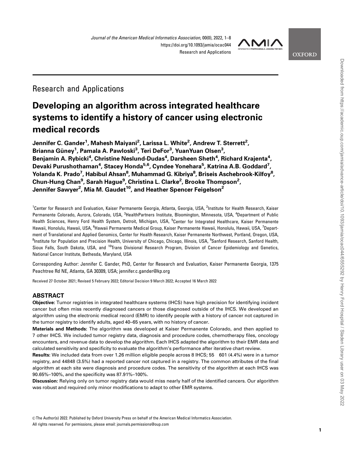

**OXFORD** 

Research and Applications

# Developing an algorithm across integrated healthcare systems to identify a history of cancer using electronic medical records

Jennifer C. Gander<sup>1</sup>, Mahesh Maiyani<sup>2</sup>, Larissa L. White<sup>2</sup>, Andrew T. Sterrett<sup>2</sup>, Brianna Güney<sup>1</sup>, Pamala A. Pawloski<sup>3</sup>, Teri DeFor<sup>3</sup>, YuanYuan Olsen<sup>3</sup>, Benjamin A. Rybicki<sup>4</sup>, Christine Neslund-Dudas<sup>4</sup>, Darsheen Sheth<sup>4</sup>, Richard Krajenta<sup>4</sup>, Devaki Purushothaman<sup>4</sup>, Stacey Honda<sup>5,6</sup>, Cyndee Yonehara<sup>5</sup>, Katrina A.B. Goddard<sup>7</sup>, Yolanda K. Prado<sup>7</sup>, Habibul Ahsan<sup>8</sup>, Muhammad G. Kibriya<sup>8</sup>, Briseis Aschebrook-Kilfoy<sup>8</sup>, Chun-Hung Chan<sup>9</sup>, Sarah Hague<sup>9</sup>, Christina L. Clarke<sup>2</sup>, Brooke Thompson<sup>2</sup>, Jennifer Sawyer<sup>2</sup>, Mia M. Gaudet<sup>10</sup>, and Heather Spencer Feigelson<sup>2</sup>

<sup>1</sup>Center for Research and Evaluation, Kaiser Permanente Georgia, Atlanta, Georgia, USA, <sup>2</sup>Institute for Health Research, Kaiser Permanente Colorado, Aurora, Colorado, USA, <sup>3</sup>HealthPartners Institute, Bloomington, Minnesota, USA, <sup>4</sup>Department of Public Health Sciences, Henry Ford Health System, Detroit, Michigan, USA, <sup>5</sup>Center for Integrated Healthcare, Kaiser Permanente Hawaii, Honolulu, Hawaii, USA, <sup>6</sup>Hawaii Permanente Medical Group, Kaiser Permanente Hawaii, Honolulu, Hawaii, USA, <sup>7</sup>Department of Translational and Applied Genomics, Center for Health Research, Kaiser Permanente Northwest, Portland, Oregon, USA, <sup>8</sup>Institute for Population and Precision Health, University of Chicago, Chicago, Illinois, USA, <sup>9</sup>Sanford Research, Sanford Health, Sioux Falls, South Dakota, USA, and <sup>10</sup>Trans Divisional Research Program, Division of Cancer Epidemiology and Genetics, National Cancer Institute, Bethesda, Maryland, USA

Corresponding Author: Jennifer C. Gander, PhD, Center for Research and Evaluation, Kaiser Permanente Georgia, 1375 Peachtree Rd NE, Atlanta, GA 30309, USA; jennifer.c.gander@kp.org

Received 27 October 2021; Revised 5 February 2022; Editorial Decision 9 March 2022; Accepted 16 March 2022

# ABSTRACT

Objective: Tumor registries in integrated healthcare systems (IHCS) have high precision for identifying incident cancer but often miss recently diagnosed cancers or those diagnosed outside of the IHCS. We developed an algorithm using the electronic medical record (EMR) to identify people with a history of cancer not captured in the tumor registry to identify adults, aged 40–65 years, with no history of cancer.

Materials and Methods: The algorithm was developed at Kaiser Permanente Colorado, and then applied to 7 other IHCS. We included tumor registry data, diagnosis and procedure codes, chemotherapy files, oncology encounters, and revenue data to develop the algorithm. Each IHCS adapted the algorithm to their EMR data and calculated sensitivity and specificity to evaluate the algorithm's performance after iterative chart review.

Results: We included data from over 1.26 million eligible people across 8 IHCS; 55 601 (4.4%) were in a tumor registry, and 44848 (3.5%) had a reported cancer not captured in a registry. The common attributes of the final algorithm at each site were diagnosis and procedure codes. The sensitivity of the algorithm at each IHCS was 90.65%–100%, and the specificity was 87.91%–100%.

Discussion: Relying only on tumor registry data would miss nearly half of the identified cancers. Our algorithm was robust and required only minor modifications to adapt to other EMR systems.

V<sup>C</sup> The Author(s) 2022. Published by Oxford University Press on behalf of the American Medical Informatics Association. All rights reserved. For permissions, please email: journals.permissions@oup.com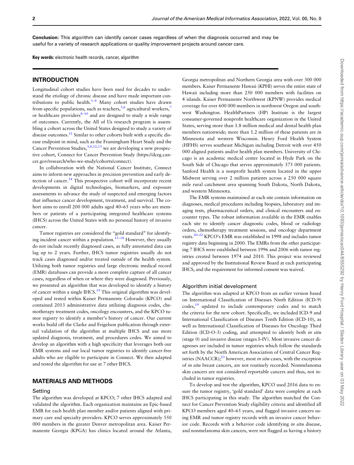Conclusion: This algorithm can identify cancer cases regardless of when the diagnosis occurred and may be useful for a variety of research applications or quality improvement projects around cancer care.

Key words: electronic health records, cancer, algorithm

## **INTRODUCTION**

Longitudinal cohort studies have been used for decades to understand the etiology of chronic disease and have made important contributions to public health.<sup>1–4</sup> Many cohort studies have drawn from specific populations, such as teachers,  $5,6$  $5,6$  $5,6$  agricultural workers, or healthcare providers $8-10$  and are designed to study a wide range of outcomes. Currently, the All of Us research program is assembling a cohort across the United States designed to study a variety of disease outcomes. $^{11}$  $^{11}$  $^{11}$  Similar to other cohorts built with a specific disease endpoint in mind, such as the Framingham Heart Study and the Cancer Prevention Studies,  $3,4,12,13$  we are developing a new prospective cohort, Connect for Cancer Prevention Study [\(https://dceg.can](https://dceg.cancer.gov/research/who-we-study/cohorts/connect)[cer.gov/research/who-we-study/cohorts/connect\)](https://dceg.cancer.gov/research/who-we-study/cohorts/connect).

In collaboration with the National Cancer Institute, Connect aims to inform new approaches in precision prevention and early detection of cancer.<sup>14</sup> This prospective cohort will incorporate recent developments in digital technologies, biomarkers, and exposure assessments to advance the study of suspected and emerging factors that influence cancer development, treatment, and survival. The cohort aims to enroll 200 000 adults aged 40–65 years who are members or patients of a participating integrated healthcare systems (IHCS) across the United States with no personal history of invasive cancer.

Tumor registries are considered the "gold standard" for identify-ing incident cancer within a population.<sup>[15–18](#page-9-0)</sup> However, they usually do not include recently diagnosed cases, as fully annotated data can lag up to 2 years. Further, IHCS tumor registries usually do not track cases diagnosed and/or treated outside of the health system. Utilizing both tumor registries and large electronic medical record (EMR) databases can provide a more complete capture of all cancer cases, regardless of when or where they were diagnosed. Previously, we presented an algorithm that was developed to identify a history of cancer within a single IHCS.<sup>[19](#page-9-0)</sup> This original algorithm was developed and tested within Kaiser Permanente Colorado (KPCO) and contained 2013 administrative data utilizing diagnosis codes, chemotherapy treatment codes, oncology encounters, and the KPCO tumor registry to identify a member's history of cancer. Our current works build off the Clarke and Feigelson publication through external validation of the algorithm at multiple IHCS and use more updated diagnosis, treatment, and procedures codes. We aimed to develop an algorithm with a high specificity that leverages both our EMR systems and our local tumor registries to identify cancer-free adults who are eligible to participate in Connect. We then adapted and tested the algorithm for use at 7 other IHCS.

## MATERIALS AND METHODS

#### Setting

The algorithm was developed at KPCO; 7 other IHCS adapted and validated the algorithm. Each organization maintains an Epic-based EMR for each health plan member and/or patients aligned with primary care and specialty providers. KPCO serves approximately 550 000 members in the greater Denver metropolitan area. Kaiser Permanente Georgia (KPGA) has clinics located around the Atlanta,

Georgia metropolitan and Northern Georgia area with over 300 000 members. Kaiser Permanente Hawaii (KPHI) serves the entire state of Hawaii including more than 250 000 members with facilities on 4 islands. Kaiser Permanente Northwest (KPNW) provides medical coverage for over 600 000 members in northwest Oregon and southwest Washington. HealthPartners (HP) Institute is the largest consumer-governed nonprofit healthcare organization in the United States, serving more than 1.8 million medical and dental health plan members nationwide; more than 1.2 million of these patients are in Minnesota and western Wisconsin. Henry Ford Health System (HFHS) serves southeast Michigan including Detroit with over 450 000 aligned patients and/or health plan members. University of Chicago is an academic medical center located in Hyde Park on the South Side of Chicago that serves approximately 375 000 patients. Sanford Health is a nonprofit health system located in the upper Midwest serving over 2 million patients across a 250 000 square mile rural catchment area spanning South Dakota, North Dakota, and western Minnesota.

The EMR systems maintained at each site contain information on diagnoses, medical procedures including biopsies, laboratory and imaging tests, pharmaceutical orders, and clinical encounters and encounter types. The robust information available in the EMR enables each site to identify cancer diagnostic codes, blood or radiology orders, chemotherapy treatment sessions, and oncology department visits.[20–22](#page-9-0) KPCO's EMR was established in 1998 and includes tumor registry data beginning in 2000. The EMRs from the other participating 7 IHCS were established between 1996 and 2006 with tumor registries created between 1974 and 2010. This project was reviewed and approved by the Institutional Review Board at each participating IHCS, and the requirement for informed consent was waived.

#### Algorithm initial development

The algorithm was adapted at KPCO from an earlier version based on International Classification of Diseases Ninth Edition (ICD-9) codes,[19](#page-9-0) updated to include contemporary codes and to match the criteria for the new cohort. Specifically, we included ICD-9 and International Classification of Diseases Tenth Edition (ICD-10), as well as International Classification of Diseases for Oncology Third Edition (ICD-O-3) coding, and attempted to identify both in situ (stage 0) and invasive disease (stages I–IV). Most invasive cancer diagnoses are included in tumor registries which follow the standards set forth by the North American Association of Central Cancer Registries  $(NAACCR);^{23}$  $(NAACCR);^{23}$  $(NAACCR);^{23}$  however, most in situ cases, with the exception of in situ breast cancers, are not routinely recorded. Nonmelanoma skin cancers are not considered reportable cancers and thus, not included in tumor registries.

To develop and test the algorithm, KPCO used 2016 data to ensure the tumor registry, 'gold standard' data were complete at each IHCS participating in this study. The algorithm matched the Connect for Cancer Prevention Study eligibility criteria and identified all KPCO members aged 40–65 years, and flagged invasive cancers using EMR and tumor registry records with an invasive cancer behavior code. Records with a behavior code identifying in situ disease, and nonmelanoma skin cancers, were not flagged as having a history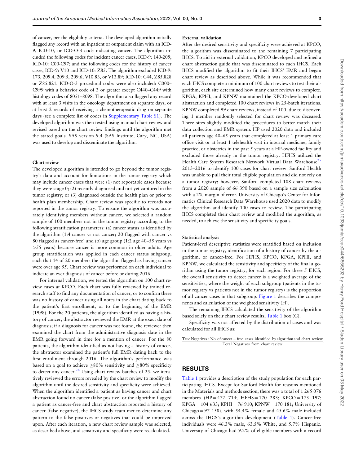of cancer, per the eligibility criteria. The developed algorithm initially flagged any record with an inpatient or outpatient claim with an ICD-9, ICD-10, or ICD-O-3 code indicating cancer. The algorithm included the following codes for incident cancer cases, ICD-9: 140-209; ICD-10: C00-C97; and the following codes for the history of cancer cases, ICD-9: V10 and ICD-10: Z85. The algorithm excluded ICD-9: 173, 209.4, 209.5, 209.6, V10.83, or V13.89; ICD-10: C44, Z85.828 or Z85.821. ICD-O-3 procedural codes were also included: C000– C999 with a behavior code of 3 or greater except C440–C449 with histology codes of 8051–8098. The algorithm also flagged any record with at least 3 visits in the oncology department on separate days, or at least 2 records of receiving a chemotherapeutic drug on separate days (see a complete list of codes in [Supplementary Table S1\)](https://academic.oup.com/jamia/article-lookup/doi/10.1093/jamia/ocac044#supplementary-data). The developed algorithm was then tested using manual chart review and revised based on the chart review findings until the algorithm met the stated goals. SAS version 9.4 (SAS Institute, Cary, NC, USA) was used to develop and disseminate the algorithm.

#### Chart review

The developed algorithm is intended to go beyond the tumor registry's data and account for limitations in the tumor registry which may include cancer cases that were (1) not reportable cases because they were stage 0; (2) recently diagnosed and not yet captured in the tumor registry; or (3) diagnosed outside the health plan or prior to health plan membership. Chart review was specific to records not reported in the tumor registry. To ensure the algorithm was accurately identifying members without cancer, we selected a random sample of 100 members not in the tumor registry according to the following stratification parameters: (a) cancer status as identified by the algorithm (1:4 cancer vs not cancer; 20 flagged with cancer vs 80 flagged as cancer-free) and (b) age group (1:2 age 40–55 years vs >55 years) because cancer is more common in older adults. Age group stratification was applied in each cancer status subgroup, such that 14 of 20 members the algorithm flagged as having cancer were over age 55. Chart review was performed on each individual to indicate an ever diagnosis of cancer before or during 2016.

For internal validation, we tested the algorithm on 100 chart review cases at KPCO. Each chart was fully reviewed by trained research staff to find any documentation of cancer, or to confirm there was no history of cancer using all notes in the chart dating back to the patient's first enrollment, or to the beginning of the EMR (1998). For the 20 patients, the algorithm identified as having a history of cancer, the abstractor reviewed the EMR at the exact date of diagnosis; if a diagnosis for cancer was not found, the reviewer then examined the chart from the administrative diagnosis date in the EMR going forward in time for a mention of cancer. For the 80 patients, the algorithm identified as not having a history of cancer, the abstractor examined the patient's full EMR dating back to the first enrollment through 2016. The algorithm's performance was based on a goal to achieve  ${\geq}80\%$  sensitivity and  ${\geq}80\%$  specificity to detect any cancer. $24$  Using chart review batches of 25, we iteratively reviewed the errors revealed by the chart review to modify the algorithm until the desired sensitivity and specificity were achieved. When the algorithm identified a patient as having cancer and chart abstraction found no cancer (false positive) or the algorithm flagged a patient as cancer-free and chart abstraction reported a history of cancer (false negative), the IHCS study team met to determine any pattern to the false positives or negatives that could be improved upon. After each iteration, a new chart review sample was selected, as described above, and sensitivity and specificity were recalculated.

#### External validation

After the desired sensitivity and specificity were achieved at KPCO, the algorithm was disseminated to the remaining 7 participating IHCS. To aid in external validation, KPCO developed and refined a chart abstraction guide that was disseminated to each IHCS. Each IHCS modified the algorithm to fit their IHCS' EMR and began chart review as described above. While it was recommended that each IHCS complete a minimum of 100 chart reviews to test their algorithm, each site determined how many chart reviews to complete. KPGA, KPHI, and KPNW maintained the KPCO-developed chart abstraction and completed 100 chart reviews in 25-batch iterations. KPNW completed 99 chart reviews, instead of 100, due to discovering 1 member randomly selected for chart review was deceased. Three sites slightly modified the procedures to better match their data collection and EMR system. HP used 2020 data and included all patients age 40–65 years that completed at least 1 primary care office visit or at least 1 telehealth visit in internal medicine, family practice, or obstetrics in the past 5 years at a HP-owned facility and excluded those already in the tumor registry. HFHS utilized the Health Care System Research Network Virtual Data Warehouse<sup>[25](#page-9-0)</sup> 2013–2016 to identify 100 cases for chart review. Sanford Health was unable to pull their total eligible population and did not rely on a tumor registry; however, Sanford completed 188 chart reviews from a 2020 sample of 66 390 based on a sample size calculation with a 2% margin of error. University of Chicago's Center for Informatics Clinical Research Data Warehouse used 2020 data to modify the algorithm and identify 100 cases to review. The participating IHCS completed their chart review and modified the algorithm, as needed, to achieve the sensitivity and specificity goals.

#### Statistical analysis

Patient-level descriptive statistics were stratified based on inclusion in the tumor registry, identification of a history of cancer by the algorithm, or cancer-free. For HFHS, KPCO, KPGA, KPHI, and KPNW, we calculated the sensitivity and specificity of the final algorithm using the tumor registry, for each region. For these 5 IHCS, the overall sensitivity to detect cancer is a weighted average of the sensitivities, where the weight of each subgroup (patients in the tumor registry vs patients not in the tumor registry) is the proportion of all cancer cases in that subgroup. [Figure 1](#page-5-0) describes the components and calculation of the weighted sensitivity (H).

The remaining IHCS calculated the sensitivity of the algorithm based solely on their chart review results, [Table 1](#page-5-0) box (G).

Specificity was not affected by the distribution of cases and was calculated for all IHCS as:

True Negatives : No: of cancer free cases identified by algorithm and chart review Total Negatives from chart review

# RESULTS

[Table 1](#page-5-0) provides a description of the study population for each participating IHCS. Except for Sanford Health for reasons mentioned in the Materials and methods section, there was a total of 1 265 076 members (HP = 472 714; HFHS = 170 283; KPCO = 173 197;  $KPGA = 104 633$ ;  $KPHI = 76 910$ ;  $KPNW = 170 181$ ; University of Chicago = 97 158), with  $54.4\%$  female and  $45.6\%$  male included across the IHCS's algorithm development ([Table 1\)](#page-5-0). Cancer-free individuals were 46.3% male, 63.5% White, and 5.7% Hispanic. University of Chicago had 9.2% of eligible members with a record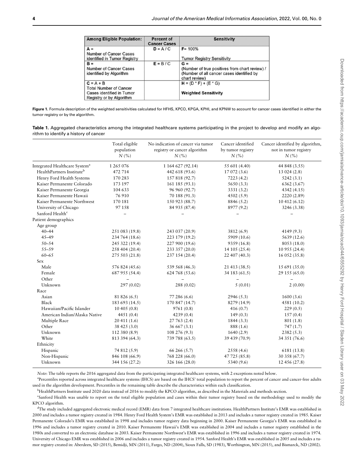<span id="page-5-0"></span>

| <b>Among Eligible Population:</b>                                                      | <b>Percent of</b><br><b>Cancer Cases</b> | <b>Sensitivity</b>                                                                                           |
|----------------------------------------------------------------------------------------|------------------------------------------|--------------------------------------------------------------------------------------------------------------|
| $A =$                                                                                  | $D = A/C$                                | $F = 100%$                                                                                                   |
| Number of Cancer Cases<br>identified in Tumor Registry                                 |                                          | <b>Tumor Registry Sensitivity</b>                                                                            |
| $B =$                                                                                  | $E = B / C$                              | $G =$                                                                                                        |
| <b>Number of Cancer Cases</b><br>identified by Algorithm                               |                                          | (Number of true positives from chart review) /<br>(Number of all cancer cases identified by<br>chart review) |
| $C = A + B$                                                                            |                                          | $H = (D * F) + (E * G)$                                                                                      |
| <b>Total Number of Cancer</b><br>Cases identified in Tumor<br>Registry or by Algorithm |                                          | <b>Weighted Sensitivity</b>                                                                                  |

Figure 1. Formula description of the weighted sensitivities calculated for HFHS, KPCO, KPGA, KPHI, and KPNW to account for cancer cases identified in either the tumor registry or by the algorithm.

Table 1. Aggregated characteristics among the integrated healthcare systems participating in the project to develop and modify an algorithm to identify a history of cancer

|                                           | Total eligible<br>population<br>N(% | No indication of cancer via tumor<br>registry or cancer algorithm<br>$N\left(\%\right)$ | Cancer identified<br>by tumor registry<br>N(% | Cancer identified by algorithm.<br>not in tumor registry<br>N(% |
|-------------------------------------------|-------------------------------------|-----------------------------------------------------------------------------------------|-----------------------------------------------|-----------------------------------------------------------------|
| Integrated Healthcare System <sup>a</sup> | 1 265 076                           | 1 164 627 (92.14)                                                                       | 55 601 (4.40)                                 | 44 848 (3.55)                                                   |
| HealthPartners Institute <sup>b</sup>     | 472 714                             | 442 618 (93.6)                                                                          | 17 072 (3.6)                                  | 13024(2.8)                                                      |
| Henry Ford Health Systems                 | 170 283                             | 157 818 (92.7)                                                                          | 7223(4.2)                                     | 5242(3.1)                                                       |
| Kaiser Permanente Colorado                | 173 197                             | 161 185 (93.1)                                                                          | 5650(3.3)                                     | 6362 (3.67)                                                     |
| Kaiser Permanente Georgia                 | 104 633                             | 96 960 (92.7)                                                                           | 3331 (3.2)                                    | 4342 (4.15)                                                     |
| Kaiser Permanente Hawaii                  | 76910                               | 70 188 (91.3)                                                                           | 4502(5.9)                                     | 2220 (2.89)                                                     |
| Kaiser Permanente Northwest               | 170 181                             | 150 923 (88.7)                                                                          | 8846 (5.2)                                    | 10 412 (6.12)                                                   |
| University of Chicago                     | 97 158                              | 84 935 (87.4)                                                                           | 8977 (9.2)                                    | 3246 (3.38)                                                     |
| Sanford Health <sup>c</sup>               |                                     |                                                                                         |                                               |                                                                 |
| Patient demographics                      |                                     |                                                                                         |                                               |                                                                 |
| Age group                                 |                                     |                                                                                         |                                               |                                                                 |
| $40 - 44$                                 | 251 083 (19.8)                      | 243 037 (20.9)                                                                          | 3812 (6.9)                                    | 4149(9.3)                                                       |
| $45 - 49$                                 | 234 764 (18.6)                      | 223 179 (19.2)                                                                          | 5909 (10.6)                                   | 5639 (12.6)                                                     |
| $50 - 54$                                 | 245 322 (19.4)                      | 227 900 (19.6)                                                                          | 9359 (16.8)                                   | 8053 (18.0)                                                     |
| $55 - 59$                                 | 258 404 (20.4)                      | 233 357 (20.0)                                                                          | 14 105 (25.4)                                 | 10 955 (24.4)                                                   |
| $60 - 65$                                 | 275 503 (21.8)                      | 237 154 (20.4)                                                                          | 22 407 (40.3)                                 | 16 052 (35.8)                                                   |
| Sex                                       |                                     |                                                                                         |                                               |                                                                 |
| Male                                      | 576 824 (45.6)                      | 539 568 (46.3)                                                                          | 21 413 (38.5)                                 | 15 691 (35.0)                                                   |
| Female                                    | 687 955 (54.4)                      | 624 768 (53.6)                                                                          | 34 183 (61.5)                                 | 29 155 (65.0)                                                   |
| Other                                     |                                     |                                                                                         | $\overline{\phantom{m}}$                      | $\overline{\phantom{0}}$                                        |
| Unknown                                   | 297 (0.02)                          | 288 (0.02)                                                                              | 5(0.01)                                       | 2(0.00)                                                         |
| Race                                      |                                     |                                                                                         |                                               |                                                                 |
| Asian                                     | 81 826 (6.5)                        | 77 286 (6.6)                                                                            | 2946(5.3)                                     | 1600(3.6)                                                       |
| Black                                     | 183 693 (14.5)                      | 170 847 (14.7)                                                                          | 8279 (14.9)                                   | 4581 (10.2)                                                     |
| Hawaiian/Pacific Islander                 | 10405(0.8)                          | 9761(0.8)                                                                               | 416 $(0.7)$                                   | 229(0.5)                                                        |
| American Indian/Alaska Native             | 4451(0.4)                           | 4239(0.4)                                                                               | 149(0.3)                                      | 157(0.4)                                                        |
| Multiple Race                             | 20411(1.6)                          | 27 763 (2.4)                                                                            | 1844(3.3)                                     | 801(1.8)                                                        |
| Other                                     | 38 425 (3.0)                        | 36 667 (3.1)                                                                            | 888 (1.6)                                     | 747(1.7)                                                        |
| Unknown                                   | 112 380 (8.9)                       | 108 276 (9.3)                                                                           | 1640(2.9)                                     | 2382(5.3)                                                       |
| White                                     | 813 394 (64.3)                      | 739 788 (63.5)                                                                          | 39 439 (70.9)                                 | 34 351 (76.6)                                                   |
| Ethnicity                                 |                                     |                                                                                         |                                               |                                                                 |
| Hispanic                                  | 74 812 (5.9)                        | 66 266 (5.7)                                                                            | 2558 (4.6)                                    | 6181 (13.8)                                                     |
| Non-Hispanic                              | 846 108 (66.9)                      | 768 228 (66.0)                                                                          | 47 725 (85.8)                                 | 30 358 (67.7)                                                   |
| Unknown                                   | 344 156 (27.2)                      | 326 166 (28.0)                                                                          | 5340 (9.6)                                    | 12 456 (27.8)                                                   |

Note: The table reports the 2016 aggregated data from the participating integrated healthcare systems, with 2 exceptions noted below.

a Percentiles reported across integrated healthcare systems (IHCS) are based on the IHCS' total population to report the percent of cancer and cancer-free adults used in the algorithm development. Percentiles in the remaining table describe the characteristics within each classification.

bHealthPartners Institute used 2020 data instead of 2016 to modify the KPCO algorithm, as described in the Materials and methods section.

c Sanford Health was unable to report on the total eligible population and cases within their tumor registry based on the methodology used to modify the KPCO algorithm.

<sup>d</sup>The study included aggregated electronic medical record (EMR) data from 7 integrated healthcare institutions. HealthPartners Institute's EMR was established in 2000 and includes a tumor registry created in 1984. Henry Ford Health System's EMR was established in 2013 and includes a tumor registry created in 1985. Kaiser Permanente Colorado's EMR was established in 1998 and includes tumor registry data beginning in 2000. Kaiser Permanente Georgia's EMR was established in 1996 and includes a tumor registry created in 2010. Kaiser Permanente Hawaii's EMR was established in 2004 and includes a tumor registry established in the 1980s and converted to an electronic database in 2003. Kaiser Permanente Northwest's EMR was established in 1996 and includes a tumor registry created in 1974. University of Chicago EMR was established in 2006 and includes a tumor registry created in 1954. Sanford Health's EMR was established in 2005 and includes a tumor registry created in: Aberdeen, SD (2015), Bemidji, MN (2011), Fargo, ND (2004), Sioux Falls, SD (1983), Worthington, MN (2015), and Bismarck, ND (2002).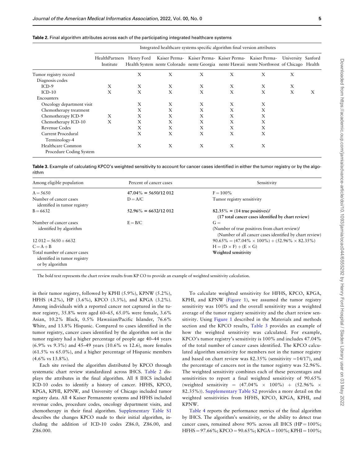|                           |                             |            | Integrated healthcare systems specific algorithm final version attributes |   |   |                                                                                                                                                      |                    |   |
|---------------------------|-----------------------------|------------|---------------------------------------------------------------------------|---|---|------------------------------------------------------------------------------------------------------------------------------------------------------|--------------------|---|
|                           | HealthPartners<br>Institute | Henry Ford |                                                                           |   |   | Kaiser Perma- Kaiser Perma- Kaiser Perma- Kaiser Perma-<br>Health System nente Colorado nente Georgia nente Hawaii nente Northwest of Chicago Health | University Sanford |   |
| Tumor registry record     |                             | X          | X                                                                         | X | X | X                                                                                                                                                    | X                  |   |
| Diagnosis codes           |                             |            |                                                                           |   |   |                                                                                                                                                      |                    |   |
| $ICD-9$                   | X                           | X          | X                                                                         | X | X | X                                                                                                                                                    | X                  |   |
| $ICD-10$                  | X                           | X          | X                                                                         | X | X | X                                                                                                                                                    | X                  | X |
| Encounters                |                             |            |                                                                           |   |   |                                                                                                                                                      |                    |   |
| Oncology department visit |                             | X          | X                                                                         | X | X | X                                                                                                                                                    |                    |   |
| Chemotherapy treatment    |                             | Χ          | X                                                                         | X | X | X                                                                                                                                                    |                    |   |
| Chemotherapy ICD-9        | X                           | Χ          | Χ                                                                         | X | X | X                                                                                                                                                    |                    |   |
| Chemotherapy ICD-10       | X                           | X          | X                                                                         | X | X | X                                                                                                                                                    |                    |   |
| Revenue Codes             |                             | Χ          | X                                                                         | X | X | X                                                                                                                                                    |                    |   |
| Current Procedural        |                             | Х          | X                                                                         | X | X | X                                                                                                                                                    |                    |   |
| Terminology-4             |                             |            |                                                                           |   |   |                                                                                                                                                      |                    |   |
| Healthcare Common         |                             | X          | X                                                                         | X | X | X                                                                                                                                                    |                    |   |
| Procedure Coding System   |                             |            |                                                                           |   |   |                                                                                                                                                      |                    |   |
|                           |                             |            |                                                                           |   |   |                                                                                                                                                      |                    |   |

| Table 2. Final algorithm attributes across each of the participating integrated healthcare systems |  |  |
|----------------------------------------------------------------------------------------------------|--|--|
|----------------------------------------------------------------------------------------------------|--|--|

Table 3. Example of calculating KPCO's weighted sensitivity to account for cancer cases identified in either the tumor registry or by the algorithm

| Among eligible population                                                       | Percent of cancer cases | Sensitivity                                                                                                       |
|---------------------------------------------------------------------------------|-------------------------|-------------------------------------------------------------------------------------------------------------------|
| $A = 5650$                                                                      | $47.04\% = 5650/12012$  | $F = 100\%$                                                                                                       |
| Number of cancer cases<br>identified in tumor registry                          | $D = A/C$               | Tumor registry sensitivity                                                                                        |
| $B = 6632$                                                                      | $52.96\% = 6632/12012$  | $82.35\% = (14$ true positives)/<br>(17 total cancer cases identified by chart review)                            |
| Number of cancer cases<br>identified by algorithm                               | $E = B/C$               | $G =$<br>(Number of true positives from chart review)/<br>(Number of all cancer cases identified by chart review) |
| $12.012 = 5650 + 6632$                                                          |                         | $90.65\% = (47.04\% \times 100\%) + (52.96\% \times 82.35\%)$                                                     |
| $C = A + B$                                                                     |                         | $H = (D \times F) + (E \times G)$                                                                                 |
| Total number of cancer cases<br>identified in tumor registry<br>or by algorithm |                         | Weighted sensitivity                                                                                              |

The bold text represents the chart review results from KP CO to provide an example of weighted sensitivity calculation.

in their tumor registry, followed by KPHI (5.9%), KPNW (5.2%), HFHS (4.2%), HP (3.6%), KPCO (3.3%), and KPGA (3.2%). Among individuals with a reported cancer not captured in the tumor registry, 35.8% were aged 60–65, 65.0% were female, 3.6% Asian, 10.2% Black, 0.5% Hawaiian/Pacific Islander, 76.6% White, and 13.8% Hispanic. Compared to cases identified in the tumor registry, cancer cases identified by the algorithm not in the tumor registry had a higher percentage of people age 40–44 years (6.9% vs 9.3%) and 45–49 years (10.6% vs 12.6), more females (61.5% vs 65.0%), and a higher percentage of Hispanic members  $(4.6\% \text{ vs } 13.8\%).$ 

Each site revised the algorithm distributed by KPCO through systematic chart review standardized across IHCS. Table 2 displays the attributes in the final algorithm. All 8 IHCS included ICD-10 codes to identify a history of cancer. HFHS, KPCO, KPGA, KPHI, KPNW, and University of Chicago included tumor registry data. All 4 Kaiser Permanente systems and HFHS included revenue codes, procedure codes, oncology department visits, and chemotherapy in their final algorithm. [Supplementary Table S1](https://academic.oup.com/jamia/article-lookup/doi/10.1093/jamia/ocac044#supplementary-data) describes the changes KPCO made to their initial algorithm, including the addition of ICD-10 codes Z86.0, Z86.00, and Z86.000.

To calculate weighted sensitivity for HFHS, KPCO, KPGA, KPHI, and KPNW ([Figure 1](#page-5-0)), we assumed the tumor registry sensitivity was 100% and the overall sensitivity was a weighted average of the tumor registry sensitivity and the chart review sensitivity. Using [Figure 1](#page-5-0) described in the Materials and methods section and the KPCO results, Table 3 provides an example of how the weighted sensitivity was calculated. For example, KPCO's tumor registry's sensitivity is 100% and includes 47.04% of the total number of cancer cases identified. The KPCO calculated algorithm sensitivity for members not in the tumor registry and based on chart review was  $82.35\%$  (sensitivity =14/17), and the percentage of cancers not in the tumor registry was 52.96%. The weighted sensitivity combines each of these percentages and sensitivities to report a final weighted sensitivity of 90.65% (weighted sensitivity =  $(47.04\% \times 100\%)$  +  $(52.96\% \times$ 82.35%)). [Supplementary Table S2](https://academic.oup.com/jamia/article-lookup/doi/10.1093/jamia/ocac044#supplementary-data) provides a more detail on the weighted sensitivities from HFHS, KPCO, KPGA, KPHI, and KPNW.

[Table 4](#page-7-0) reports the performance metrics of the final algorithm by IHCS. The algorithm's sensitivity, or the ability to detect true cancer cases, remained above 90% across all IHCS (HP =  $100\%$ ;  $HFHS = 97.66\%; KPCO = 90.65\%; KPGA = 100\%; KPHI = 100\%;$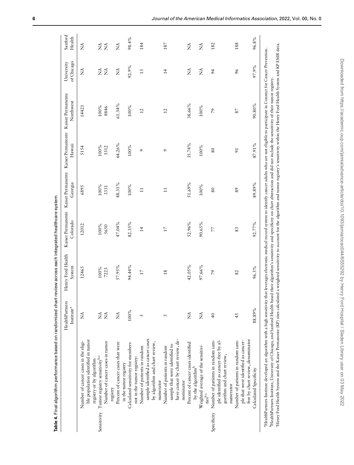|           | ׅ֚֡֡֡֡֝     |
|-----------|-------------|
|           |             |
|           |             |
|           |             |
|           |             |
|           |             |
|           |             |
|           |             |
|           |             |
|           |             |
|           |             |
|           |             |
|           |             |
|           |             |
|           |             |
|           | ֦֧ <u>֓</u> |
|           | ֚֘          |
|           |             |
|           |             |
|           |             |
|           |             |
|           |             |
|           |             |
|           |             |
|           |             |
|           |             |
|           |             |
|           |             |
|           |             |
|           |             |
|           |             |
|           |             |
|           |             |
|           |             |
|           |             |
|           |             |
|           |             |
|           |             |
|           |             |
|           |             |
|           |             |
|           |             |
|           |             |
|           |             |
|           |             |
|           |             |
|           |             |
|           | Ĭ           |
|           |             |
|           |             |
|           |             |
|           |             |
|           |             |
|           | l           |
|           |             |
|           |             |
|           |             |
|           |             |
|           |             |
|           |             |
|           |             |
|           |             |
|           |             |
|           |             |
|           |             |
|           |             |
|           |             |
|           |             |
|           |             |
|           |             |
|           |             |
|           |             |
|           |             |
|           |             |
|           |             |
|           |             |
|           | ֚֬֕         |
|           |             |
|           |             |
|           |             |
|           |             |
|           |             |
|           |             |
|           |             |
|           |             |
|           |             |
|           |             |
|           |             |
| د<br>اسال |             |

<span id="page-7-0"></span>

|             |                                                                                                        | HealthPartners<br>Institute <sup>a</sup> | Henry Ford Health<br>System | Kaiser Permanente<br>Colorado | Georgia        | Kaiser Permanente Kaiser Permanente Kaiser Permanente<br>Hawaii | Northwest       | of Chicago<br>University                 | Sanford<br>Health                                                                                                                                                                                                                                                                                                                                                                                                                                                                                                                                                                    |
|-------------|--------------------------------------------------------------------------------------------------------|------------------------------------------|-----------------------------|-------------------------------|----------------|-----------------------------------------------------------------|-----------------|------------------------------------------|--------------------------------------------------------------------------------------------------------------------------------------------------------------------------------------------------------------------------------------------------------------------------------------------------------------------------------------------------------------------------------------------------------------------------------------------------------------------------------------------------------------------------------------------------------------------------------------|
|             | ble population identified in tumor<br>Number of cancer cases in the eligi-<br>registry or by algorithm | Ź                                        | 12465                       | 12012                         | 6895           | 5154                                                            | 14421           | Ź                                        | Ź                                                                                                                                                                                                                                                                                                                                                                                                                                                                                                                                                                                    |
| Sensitivity | Tumor registry sensitivity <sup>b,c</sup>                                                              | Ź                                        | 100%                        | 100%                          | 100%           | 100%                                                            | 100%            | $\stackrel{\triangle}{\scriptstyle\sim}$ | ŹŹ                                                                                                                                                                                                                                                                                                                                                                                                                                                                                                                                                                                   |
|             | Number of cancer cases in tumor<br>registry                                                            | $\tilde{z}$                              | 7223                        | 5650                          | 3331           | 3312                                                            | 8846            | $\tilde{\mathbf{z}}$                     |                                                                                                                                                                                                                                                                                                                                                                                                                                                                                                                                                                                      |
|             | Percent of cancer cases that were                                                                      | Ź                                        | 57.95%                      | 47.04%                        | 48.31%         | 64.26%                                                          | 61.34%          | Ź                                        | Ź                                                                                                                                                                                                                                                                                                                                                                                                                                                                                                                                                                                    |
|             | in the tumor registry                                                                                  |                                          |                             |                               |                |                                                                 |                 |                                          |                                                                                                                                                                                                                                                                                                                                                                                                                                                                                                                                                                                      |
|             | Calculated sensitivity for members<br>not in the tumor registry:                                       | 100%                                     | 94.44%                      | 82.35%                        | 100%           | 100%                                                            | 100%            | 92.9%                                    | 98.4%                                                                                                                                                                                                                                                                                                                                                                                                                                                                                                                                                                                |
|             | Number of patients in random                                                                           | 5                                        | $17\,$                      | $\overline{1}$                | $\overline{1}$ | $\sigma$                                                        | $\overline{12}$ | 13                                       | 184                                                                                                                                                                                                                                                                                                                                                                                                                                                                                                                                                                                  |
|             | sample identified as cancer cases<br>by algorithm and chart review,                                    |                                          |                             |                               |                |                                                                 |                 |                                          |                                                                                                                                                                                                                                                                                                                                                                                                                                                                                                                                                                                      |
|             | numerator                                                                                              |                                          |                             |                               |                |                                                                 |                 |                                          |                                                                                                                                                                                                                                                                                                                                                                                                                                                                                                                                                                                      |
|             | Number of patients in random                                                                           | 5                                        | $\frac{8}{18}$              | $17\,$                        | $\Xi$          | $\sigma$                                                        | $\overline{c}$  | $\overline{4}$                           | 187                                                                                                                                                                                                                                                                                                                                                                                                                                                                                                                                                                                  |
|             | sample that were identified to                                                                         |                                          |                             |                               |                |                                                                 |                 |                                          |                                                                                                                                                                                                                                                                                                                                                                                                                                                                                                                                                                                      |
|             | have cancer by chart review, de-                                                                       |                                          |                             |                               |                |                                                                 |                 |                                          |                                                                                                                                                                                                                                                                                                                                                                                                                                                                                                                                                                                      |
|             | nominator                                                                                              |                                          |                             |                               |                |                                                                 |                 |                                          |                                                                                                                                                                                                                                                                                                                                                                                                                                                                                                                                                                                      |
|             | Percent of cancer cases identified<br>by the algorithm <sup>b</sup>                                    | Ź                                        | 42.05%                      | 52.96%                        | 51.69%         | 35.74%                                                          | 38.66%          | Ź                                        | É                                                                                                                                                                                                                                                                                                                                                                                                                                                                                                                                                                                    |
|             |                                                                                                        | Ź                                        | 97.66%                      | 90.65%                        | $100\%$        | $100\,\%$                                                       | $100\%$         | $\tilde{\mathbf{z}}$                     | Ź                                                                                                                                                                                                                                                                                                                                                                                                                                                                                                                                                                                    |
|             | Weighted average of the sensitivi-<br>tiesb.c                                                          |                                          |                             |                               |                |                                                                 |                 |                                          |                                                                                                                                                                                                                                                                                                                                                                                                                                                                                                                                                                                      |
| Specificity | Number of patients in random sam-                                                                      | $\frac{1}{4}$                            | $\mathcal{L}$               | 77                            | $80\,$         | $\rm 80$                                                        | $\mathcal{L}$   | 64                                       | 182                                                                                                                                                                                                                                                                                                                                                                                                                                                                                                                                                                                  |
|             | ple identified as cancer-free by al-<br>gorithm and chart review,                                      |                                          |                             |                               |                |                                                                 |                 |                                          |                                                                                                                                                                                                                                                                                                                                                                                                                                                                                                                                                                                      |
|             | numerator                                                                                              |                                          |                             |                               |                |                                                                 |                 |                                          |                                                                                                                                                                                                                                                                                                                                                                                                                                                                                                                                                                                      |
|             | Number of patients in random sam-                                                                      | 45                                       | 82                          | 83                            | 89             | $\overline{91}$                                                 | 87              | 96                                       | 188                                                                                                                                                                                                                                                                                                                                                                                                                                                                                                                                                                                  |
|             | ple that were identified as cancer-                                                                    |                                          |                             |                               |                |                                                                 |                 |                                          |                                                                                                                                                                                                                                                                                                                                                                                                                                                                                                                                                                                      |
|             | free by chart review, denominator                                                                      |                                          |                             |                               |                |                                                                 |                 |                                          |                                                                                                                                                                                                                                                                                                                                                                                                                                                                                                                                                                                      |
|             | Calculated Specificity                                                                                 | 88.89%                                   | 96.3%                       | 92.77%                        | 89.89%         | 87.91%                                                          | 90.80%          | 97.9%                                    | 96.8%                                                                                                                                                                                                                                                                                                                                                                                                                                                                                                                                                                                |
|             | <sup>a</sup> HealthPartners Institute developed an algorithm with a high sensitivity                   |                                          |                             |                               |                |                                                                 |                 |                                          |                                                                                                                                                                                                                                                                                                                                                                                                                                                                                                                                                                                      |
|             |                                                                                                        |                                          |                             |                               |                |                                                                 |                 |                                          | 'Henry Ford Health System and the Kaiser Permanente (KP) sites calculated a weighted sensitivity to account for the algorithm and tumor registry's sensitivity within the Henry Ford Health System and KP EMR data.<br>that leverages electronic medical record system to identify cancer adults who are not eligible to participate in Connect for Cancer Prevention.<br>PlealthPartners Institute, University of Chicago, and Sanford Health based their algorithm's sensitivity and specificity on chart abstraction and did not include the sensitivity of their tumor registry. |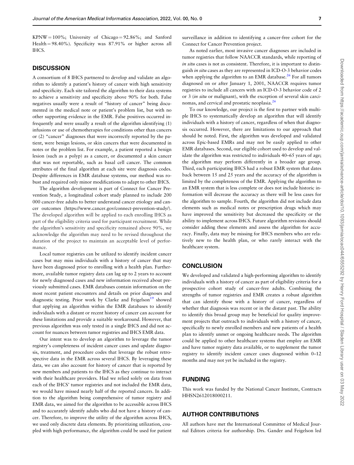$KPNW = 100\%$ ; University of Chicago = 92.86%; and Sanford Health  $= 98.40\%$ ). Specificity was 87.91% or higher across all IHCS.

### **DISCUSSION**

A consortium of 8 IHCS partnered to develop and validate an algorithm to identify a patient's history of cancer with high sensitivity and specificity. Each site tailored the algorithm to their data systems to achieve a sensitivity and specificity above 90% for both. False negatives usually were a result of "history of cancer" being documented in the medical note or patient's problem list, but with no other supporting evidence in the EMR. False positives occurred infrequently and were usually a result of the algorithm identifying (1) infusions or use of chemotherapies for conditions other than cancers or (2) "cancer" diagnoses that were incorrectly reported by the patient, were benign lesions, or skin cancers that were documented in notes or the problem list. For example, a patient reported a benign lesion (such as a polyp) as a cancer, or documented a skin cancer that was not reportable, such as basal cell cancer. The common attributes of the final algorithm at each site were diagnosis codes. Despite differences in EMR database systems, our method was robust and required only minor modifications to adapt to other IHCS.

The algorithm development is part of Connect for Cancer Prevention Study, a longitudinal cohort study planned to include 200 000 cancer-free adults to better understand cancer etiology and cancer outcomes [\(https://www.cancer.gov/connect-prevention-study/\)](https://www.cancer.gov/connect-prevention-study/). The developed algorithm will be applied to each enrolling IHCS as part of the eligibility criteria used for participant recruitment. While the algorithm's sensitivity and specificity remained above 90%, we acknowledge the algorithm may need to be revised throughout the duration of the project to maintain an acceptable level of performance.

Local tumor registries can be utilized to identify incident cancer cases but may miss individuals with a history of cancer that may have been diagnosed prior to enrolling with a health plan. Furthermore, available tumor registry data can lag up to 2 years to account for newly diagnosed cases and new information received about previously submitted cases. EMR databases contain information on the most recent patient encounters and details on prior diagnoses and diagnostic testing. Prior work by Clarke and Feigelson<sup>19</sup> showed that applying an algorithm within the EMR databases to identify individuals with a distant or recent history of cancer can account for these limitations and provide a suitable workaround. However, that previous algorithm was only tested in a single IHCS and did not account for nuances between tumor registries and IHCS EMR data.

Our intent was to develop an algorithm to leverage the tumor registry's completeness of incident cancer cases and update diagnosis, treatment, and procedure codes that leverage the robust retrospective data in the EMR across several IHCS. By leveraging these data, we can also account for history of cancer that is reported by new members and patients to the IHCS as they continue to interact with their healthcare providers. Had we relied solely on data from each of the IHCS' tumor registries and not included the EMR data, we would have missed nearly half of the reported cancers. In addition to the algorithm being comprehensive of tumor registry and EMR data, we aimed for the algorithm to be accessible across IHCS and to accurately identify adults who did not have a history of cancer. Therefore, to improve the utility of the algorithm across IHCS, we used only discrete data elements. By prioritizing utilization, coupled with high performance, the algorithm could be used for patient

surveillance in addition to identifying a cancer-free cohort for the Connect for Cancer Prevention project.

As noted earlier, most invasive cancer diagnoses are included in tumor registries that follow NAACCR standards, while reporting of in situ cases is not as consistent. Therefore, it is important to distinguish in situ cases as they are represented in ICD-O-3 behavior codes when applying the algorithm to an EMR database.<sup>26</sup> For all tumors diagnosed on or after January 1, 2001, NAACCR requires tumor registries to include all cancers with an ICD-O-3 behavior code of 2 or 3 (in situ or malignant), with the exception of several skin carcinomas, and cervical and prostatic neoplasia.[26](#page-9-0)

To our knowledge, our project is the first to partner with multiple IHCS to systematically develop an algorithm that will identify individuals with a history of cancer, regardless of when that diagnosis occurred. However, there are limitations to our approach that should be noted. First, the algorithm was developed and validated across Epic-based EMRs and may not be easily applied to other EMR databases. Second, our eligible cohort used to develop and validate the algorithm was restricted to individuals 40–65 years of age; the algorithm may perform differently in a broader age group. Third, each participating IHCS had a robust EMR system that dates back between 15 and 25 years and the accuracy of the algorithm is limited by the completeness of the EMR. Applying the algorithm to an EMR system that is less complete or does not include historic information will decrease the accuracy as there will be less cases for the algorithm to sample. Fourth, the algorithm did not include data elements such as medical notes or prescription drugs which may have improved the sensitivity but decreased the specificity or the ability to implement across IHCS. Future algorithm revisions should consider adding these elements and assess the algorithm for accuracy. Finally, data may be missing for IHCS members who are relatively new to the health plan, or who rarely interact with the healthcare system.

# **CONCLUSION**

We developed and validated a high-performing algorithm to identify individuals with a history of cancer as part of eligibility criteria for a prospective cohort study of cancer-free adults. Combining the strengths of tumor registries and EMR creates a robust algorithm that can identify those with a history of cancer, regardless of whether that diagnosis was recent or in the distant past. The ability to identify this broad group may be beneficial for quality improvement projects that outreach to individuals with a history of cancer, specifically to newly enrolled members and new patients of a health plan to identify unmet or ongoing healthcare needs. The algorithm could be applied to other healthcare systems that employ an EMR and have tumor registry data available, or to supplement the tumor registry to identify incident cancer cases diagnosed within 0–12 months and may not yet be included in the registry.

#### FUNDING

This work was funded by the National Cancer Institute, Contracts HHSN2612018000211.

# AUTHOR CONTRIBUTIONS

All authors have met the International Committee of Medical Journal Editors criteria for authorship. Drs. Gander and Feigelson led